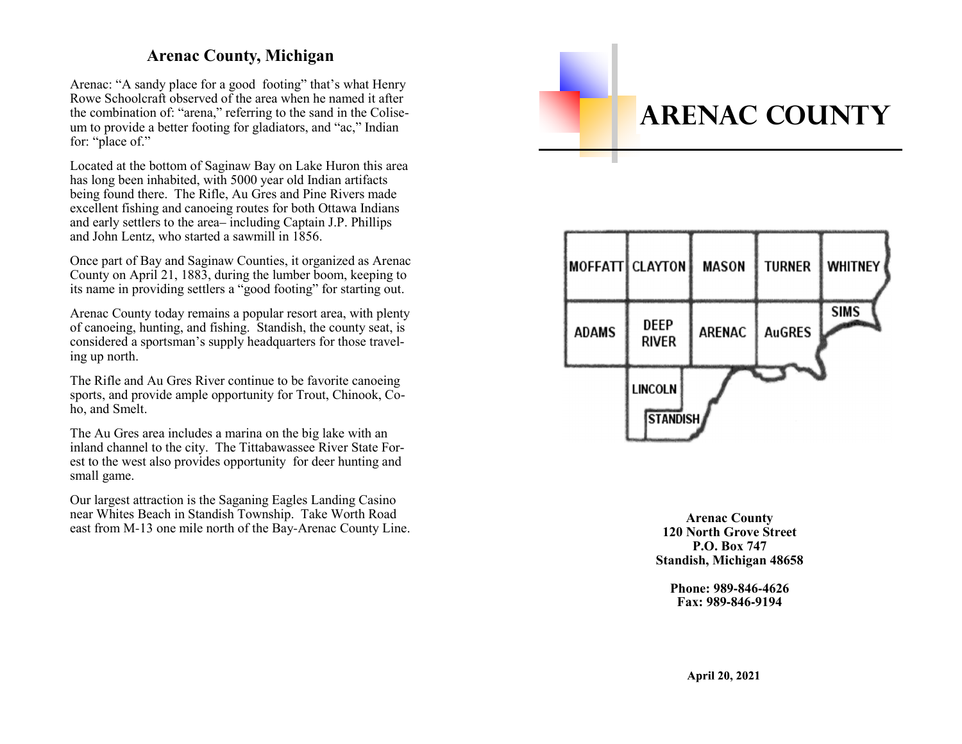## **Arenac County, Michigan**

Arenac: "A sandy place for a good footing" that's what Henry Rowe Schoolcraft observed of the area when he named it after the combination of: "arena," referring to the sand in the Coliseum to provide a better footing for gladiators, and "ac," Indian for: "place of."

Located at the bottom of Saginaw Bay on Lake Huron this area has long been inhabited, with 5000 year old Indian artifacts being found there. The Rifle, Au Gres and Pine Rivers made excellent fishing and canoeing routes for both Ottawa Indians and early settlers to the area– including Captain J.P. Phillips and John Lentz, who started a sawmill in 1856.

Once part of Bay and Saginaw Counties, it organized as Arenac County on April 21, 1883, during the lumber boom, keeping to its name in providing settlers a "good footing" for starting out.

Arenac County today remains a popular resort area, with plenty of canoeing, hunting, and fishing. Standish, the county seat, is considered a sportsman's supply headquarters for those traveling up north.

The Rifle and Au Gres River continue to be favorite canoeing sports, and provide ample opportunity for Trout, Chinook, Coho, and Smelt.

The Au Gres area includes a marina on the big lake with an inland channel to the city. The Tittabawassee River State Forest to the west also provides opportunity for deer hunting and small game.

Our largest attraction is the Saganing Eagles Landing Casino near Whites Beach in Standish Township. Take Worth Road east from M-13 one mile north of the Bay-Arenac County Line.

# **ARENAC COUNTY**



**Arenac County 120 North Grove StreetP.O. Box 747Standish, Michigan 48658**

**Phone: 989-846-4626Fax: 989-846-9194**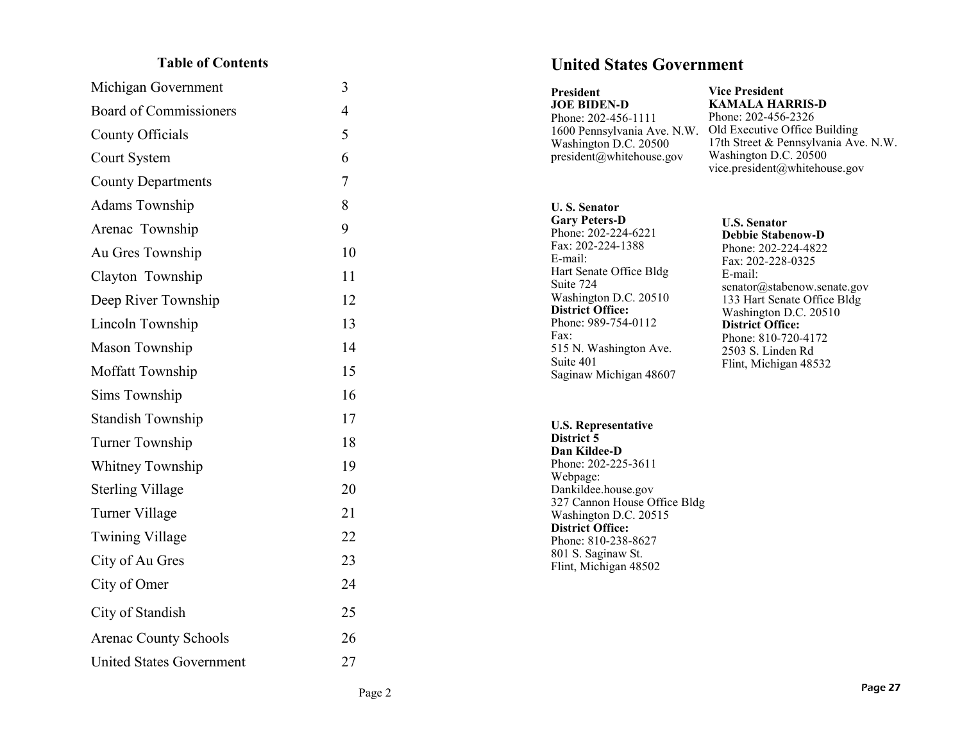## **Table of Contents**

| Michigan Government           | 3              |
|-------------------------------|----------------|
| <b>Board of Commissioners</b> | $\overline{4}$ |
| County Officials              | 5              |
| Court System                  | 6              |
| <b>County Departments</b>     | 7              |
| Adams Township                | 8              |
| Arenac Township               | 9              |
| Au Gres Township              | 10             |
| Clayton Township              | 11             |
| Deep River Township           | 12             |
| Lincoln Township              | 13             |
| Mason Township                | 14             |
| Moffatt Township              | 15             |
| Sims Township                 | 16             |
| <b>Standish Township</b>      | 17             |
| Turner Township               | 18             |
| <b>Whitney Township</b>       | 19             |
| <b>Sterling Village</b>       | 20             |
| Turner Village                | 21             |
| <b>Twining Village</b>        | 22             |
| City of Au Gres               | 23             |
| City of Omer                  | 24             |
| City of Standish              | 25             |
| <b>Arenac County Schools</b>  | 26             |
| United States Government      | 27             |

## **United States Government**

| President<br><b>JOE BIDEN-D</b><br>Phone: 202-456-1111<br>1600 Pennsylvania Ave. N.W.<br>Washington D.C. 20500<br>president@whitehouse.gov                                                                                                                                                                                                                                        | <b>Vice President</b><br><b>KAMALA HARRIS-D</b><br>Phone: 202-456-2326<br>Old Executive Office Building<br>17th Street & Pennsylvania Ave. N.W.<br>Washington D.C. 20500<br>vice.president@whitehouse.gov                                                                                     |
|-----------------------------------------------------------------------------------------------------------------------------------------------------------------------------------------------------------------------------------------------------------------------------------------------------------------------------------------------------------------------------------|-----------------------------------------------------------------------------------------------------------------------------------------------------------------------------------------------------------------------------------------------------------------------------------------------|
| <b>U.S. Senator</b><br><b>Gary Peters-D</b><br>Phone: 202-224-6221<br>Fax: 202-224-1388<br>E-mail:<br>Hart Senate Office Bldg<br>Suite 724<br>Washington D.C. 20510<br><b>District Office:</b><br>Phone: 989-754-0112<br>Fax:<br>515 N. Washington Ave.<br>Suite 401<br>Saginaw Michigan 48607<br><b>U.S. Representative</b><br>District 5<br>Dan Kildee-D<br>Phone: 202-225-3611 | <b>U.S. Senator</b><br><b>Debbie Stabenow-D</b><br>Phone: 202-224-4822<br>Fax: 202-228-0325<br>E-mail:<br>senator@stabenow.senate.gov<br>133 Hart Senate Office Bldg<br>Washington D.C. 20510<br><b>District Office:</b><br>Phone: 810-720-4172<br>2503 S. Linden Rd<br>Flint, Michigan 48532 |
| Webpage:<br>Dankildee.house.gov<br>327 Cannon House Office Bldg<br>Washington D.C. 20515<br><b>District Office:</b><br>Phone: 810-238-8627<br>801 S. Saginaw St.<br>Flint, Michigan 48502                                                                                                                                                                                         |                                                                                                                                                                                                                                                                                               |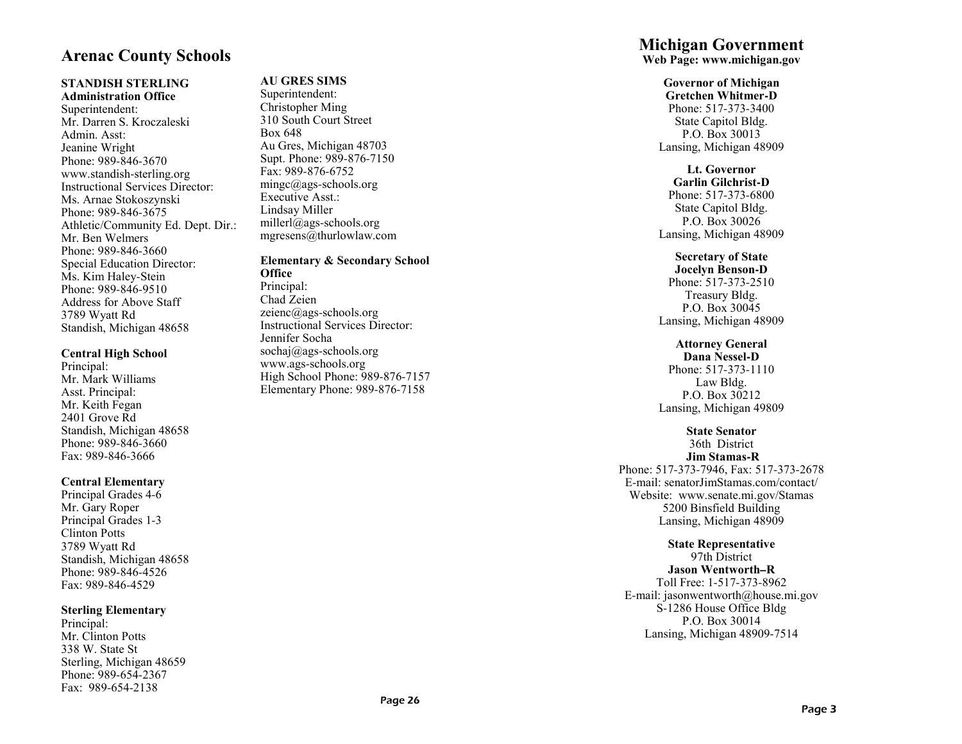## **Arenac County Schools**

## **STANDISH STERLING**

**Administration Office**Superintendent: Mr. Darren S. KroczaleskiAdmin. Asst: Jeanine Wright Phone: 989-846-3670 www.standish-sterling.org Instructional Services Director: Ms. Arnae StokoszynskiPhone: 989-846-3675 Athletic/Community Ed. Dept. Dir.:Mr. Ben Welmers Phone: 989-846-3660 Special Education Director:Ms. Kim Haley-Stein Phone: 989-846-9510 Address for Above Staff3789 Wyatt RdStandish, Michigan 48658

#### **Central High School**

Principal: Mr. Mark WilliamsAsst. Principal: Mr. Keith Fegan 2401 Grove Rd Standish, Michigan 48658Phone: 989-846-3660Fax: 989-846-3666

#### **Central Elementary**

 Principal Grades 4-6Mr. Gary Roper Principal Grades 1-3Clinton Potts 3789 Wyatt Rd Standish, Michigan 48658Phone: 989-846-4526Fax: 989-846-4529

#### **Sterling Elementary**

Principal: Mr. Clinton Potts338 W. State St Sterling, Michigan 48659Phone: 989-654-2367Fax: 989-654-2138

## **AU GRES SIMS**

Superintendent: Christopher Ming 310 South Court StreetBox 648 Au Gres, Michigan 48703 Supt. Phone: 989-876-7150Fax: 989-876-6752 mingc@ags-schools.orgExecutive Asst.:Lindsay Miller millerl@ags-schools.orgmgresens@thurlowlaw.com

**Elementary & Secondary School Office** Principal: Chad Zeien zeienc@ags-schools.org Instructional Services Director:Jennifer Socha sochaj@ags-schools.orgwww.ags-schools.org High School Phone: 989-876-7157Elementary Phone: 989-876-7158

## **Michigan Government**

**Web Page: www.michigan.gov**

## **Governor of Michigan**

 **Gretchen Whitmer-D** Phone: 517-373-3400 State Capitol Bldg.P.O. Box 30013Lansing, Michigan 48909

## **Lt. Governor**

 **Garlin Gilchrist-D** Phone: 517-373-6800 State Capitol Bldg.P.O. Box 30026Lansing, Michigan 48909

## **Secretary of State**

 **Jocelyn Benson-D** Phone: 517-373-2510Treasury Bldg. P.O. Box 30045Lansing, Michigan 48909

## **Attorney General**

**Dana Nessel-D** Phone: 517-373-1110Law Bldg. P.O. Box 30212Lansing, Michigan 49809

## **State Senator**

 36th District **Jim Stamas-R** Phone: 517-373-7946, Fax: 517-373-2678 E-mail: senatorJimStamas.com/contact/ Website: www.senate.mi.gov/Stamas5200 Binsfield BuildingLansing, Michigan 48909

## **State Representative**

97th District

 **Jason Wentworth–R** Toll Free: 1-517-373-8962 E-mail: jasonwentworth@house.mi.govS-1286 House Office BldgP.O. Box 30014Lansing, Michigan 48909-7514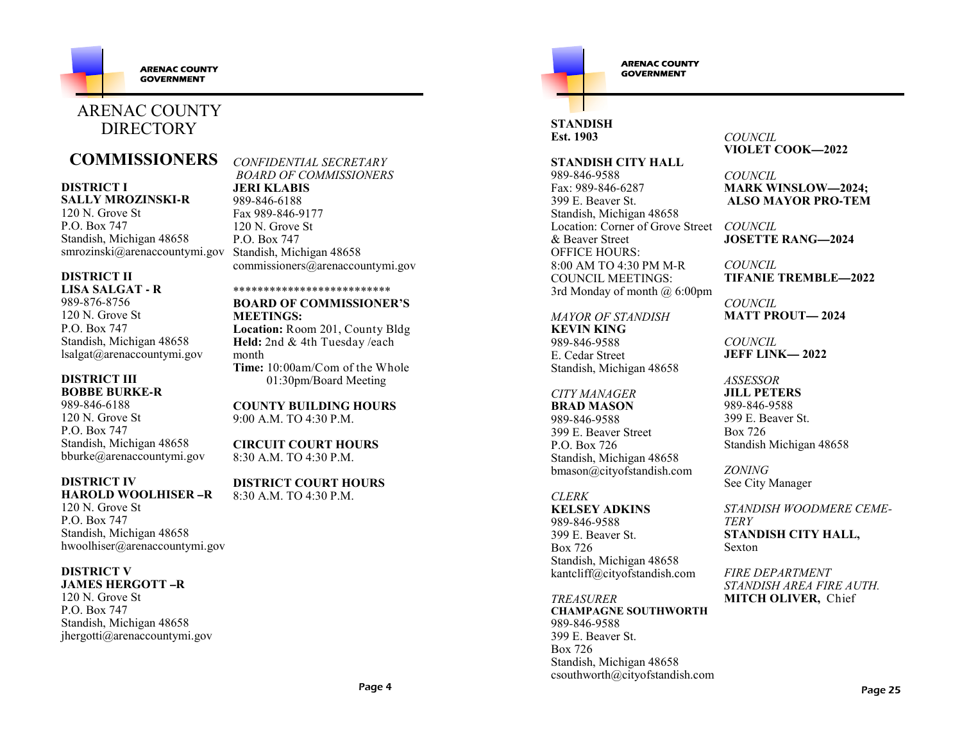

## ARENAC COUNTY **DIRECTORY**

## **COMMISSIONERS**

### **DISTRICT I**

**SALLY MROZINSKI-R**

120 N. Grove StP.O. Box 747 Standish, Michigan 48658smrozinski@arenaccountymi.gov

#### **DISTRICT IILISA SALGAT - R**

989-876-8756 120 N. Grove StP.O. Box 747 Standish, Michigan 48658lsalgat@arenaccountymi.gov

### **DISTRICT IIIBOBBE BURKE-R**

989-846-6188 120 N. Grove StP.O. Box 747 Standish, Michigan 48658bburke@arenaccountymi.gov

## **DISTRICT IV**

 **HAROLD WOOLHISER –R**120 N. Grove StP.O. Box 747 Standish, Michigan 48658hwoolhiser@arenaccountymi.gov

## **DISTRICT V**

 **JAMES HERGOTT –R**120 N. Grove StP.O. Box 747 Standish, Michigan 48658jhergotti@arenaccountymi.gov *CONFIDENTIAL SECRETARY BOARD OF COMMISSIONERS***JERI KLABIS**

 989-846-6188 Fax 989-846-9177120 N. Grove StP.O. Box 747 Standish, Michigan 48658commissioners@arenaccountymi.gov

\*\*\*\*\*\*\*\*\*\*\*\*\*\*\*\*\*\*\*\*\*\*\*\*\*\* **BOARD OF COMMISSIONER'SMEETINGS:**

 **Location:** Room 201, County Bldg**Held:** 2nd & 4th Tuesday /each month **Time:** 10:00am/Com of the Whole01:30pm/Board Meeting

**COUNTY BUILDING HOURS**9:00 A.M. TO 4:30 P.M.

**CIRCUIT COURT HOURS**8:30 A.M. TO 4:30 P.M.

**DISTRICT COURT HOURS**8:30 A.M. TO 4:30 P.M.



**ARENAC COUNTY GOVERNMENT** 

## **STANDISHEst. 1903**

**STANDISH CITY HALL**

989-846-9588 Fax: 989-846-6287 399 E. Beaver St. Standish, Michigan 48658Location: Corner of Grove Street *COUNCIL* & Beaver Street OFFICE HOURS: 8:00 AM TO 4:30 PM M-RCOUNCIL MEETINGS:3rd Monday of month @ 6:00pm

*MAYOR OF STANDISH***KEVIN KING** 989-846-9588 E. Cedar Street Standish, Michigan 48658

## *CITY MANAGER*

 **BRAD MASON**989-846-9588 399 E. Beaver StreetP.O. Box 726 Standish, Michigan 48658bmason@cityofstandish.com

### *CLERK*

 **KELSEY ADKINS**989-846-9588 399 E. Beaver St.Box 726 Standish, Michigan 48658kantcliff@cityofstandish.com

*TREASURER* **CHAMPAGNE SOUTHWORTH**989-846-9588 399 E. Beaver St.Box 726 Standish, Michigan 48658csouthworth@cityofstandish.com *COUNCIL* **VIOLET COOK—2022**

*COUNCIL*  **MARK WINSLOW—2024; ALSO MAYOR PRO-TEM**

**JOSETTE RANG—2024**

*COUNCIL* **TIFANIE TREMBLE—2022**

*COUNCIL* **MATT PROUT— 2024**

*COUNCIL* **JEFF LINK— 2022**

*ASSESSOR* **JILL PETERS**989-846-9588 399 E. Beaver St.Box 726Standish Michigan 48658

*ZONING*See City Manager

*STANDISH WOODMERE CEME-TERY* **STANDISH CITY HALL,**Sexton

*FIRE DEPARTMENT STANDISH AREA FIRE AUTH.***MITCH OLIVER,** Chief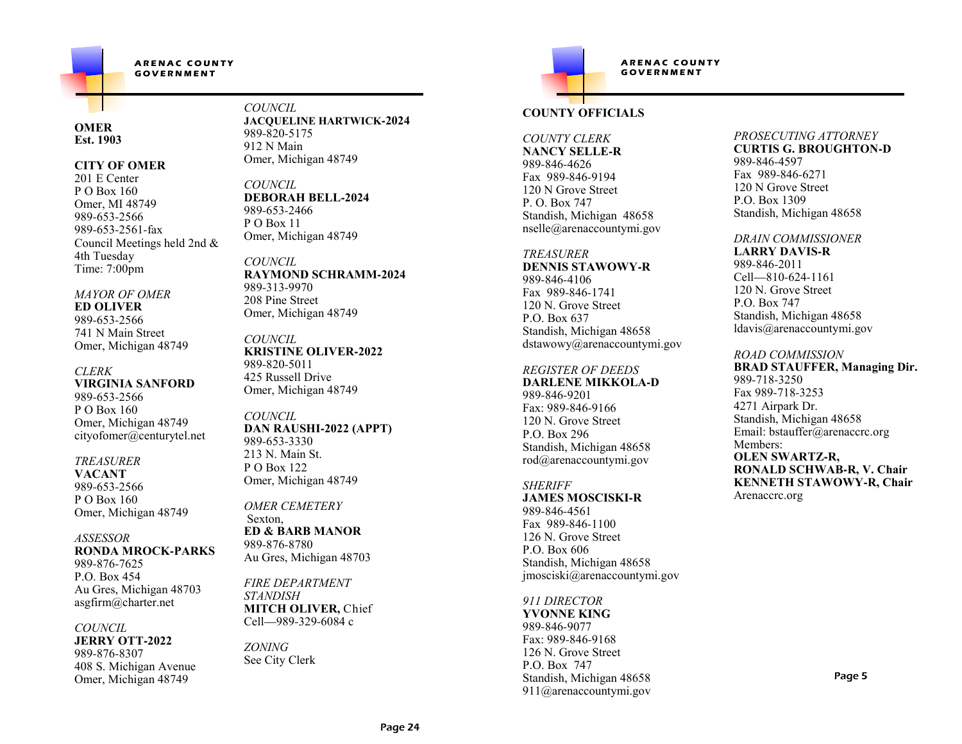$ARENAC$  **COUNTY**  $G$  **GOVERNMENT** 

#### **OMEREst. 1903**

#### **CITY OF OMER**

201 E Center P O Box 160 Omer, MI 48749989-653-2566 989-653-2561-fax Council Meetings held 2nd &4th TuesdayTime: 7:00pm

#### *MAYOR OF OMER***ED OLIVER**989-653-2566

 741 N Main StreetOmer, Michigan 48749

#### *CLERK* **VIRGINIA SANFORD**989-653-2566 P O Box 160 Omer, Michigan 48749cityofomer@centurytel.net

#### *TREASURER*

**VACANT** 989-653-2566 P O Box 160Omer, Michigan 48749

#### *ASSESSOR* **RONDA MROCK-PARKS**989-876-7625 P.O. Box 454 Au Gres, Michigan 48703asgfirm@charter.net

#### *COUNCIL*

 **JERRY OTT-2022**989-876-8307 408 S. Michigan AvenueOmer, Michigan 48749

*COUNCIL* **JACQUELINE HARTWICK-2024**989-820-5175 912 N MainOmer, Michigan 48749

*COUNCIL* **DEBORAH BELL-2024**989-653-2466P O Box 11 Omer, Michigan 48749

*COUNCIL* **RAYMOND SCHRAMM-2024**989-313-9970 208 Pine StreetOmer, Michigan 48749

*COUNCIL* **KRISTINE OLIVER-2022**989-820-5011 425 Russell DriveOmer, Michigan 48749

#### *COUNCIL* **DAN RAUSHI-2022 (APPT)**989-653-3330 213 N. Main St.P O Box 122Omer, Michigan 48749

*OMER CEMETERY*Sexton, **ED & BARB MANOR**989-876-8780Au Gres, Michigan 48703

*FIRE DEPARTMENTSTANDISH* **MITCH OLIVER,** ChiefCell—989-329-6084 c

*ZONING*See City Clerk



## **COUNTY OFFICIALS**

#### *COUNTY CLERK* **NANCY SELLE-R**989-846-4626 Fax 989-846-9194 120 N Grove StreetP. O. Box 747 Standish, Michigan 48658nselle@arenaccountymi.gov

#### *TREASURER* **DENNIS STAWOWY-R**989-846-4106 Fax 989-846-1741 120 N. Grove StreetP.O. Box 637 Standish, Michigan 48658dstawowy@arenaccountymi.gov

#### *REGISTER OF DEEDS*

 **DARLENE MIKKOLA-D**989-846-9201 Fax: 989-846-9166 120 N. Grove StreetP.O. Box 296 Standish, Michigan 48658rod@arenaccountymi.gov

#### *SHERIFF* **JAMES MOSCISKI-R**989-846-4561 Fax 989-846-1100 126 N. Grove StreetP.O. Box 606

 Standish, Michigan 48658jmosciski@arenaccountymi.gov

### *911 DIRECTOR*

 **YVONNE KING**989-846-9077 Fax: 989-846-9168 126 N. Grove StreetP.O. Box 747 Standish, Michigan 48658911@arenaccountymi.gov

#### *PROSECUTING ATTORNEY* **CURTIS G. BROUGHTON-D**989-846-4597 Fax 989-846-6271 120 N Grove StreetP.O. Box 1309

## Standish, Michigan 48658*DRAIN COMMISSIONER*

**LARRY DAVIS-R**989-846-2011 Cell—810-624-1161 120 N. Grove StreetP.O. Box 747 Standish, Michigan 48658ldavis@arenaccountymi.gov

### *ROAD COMMISSION*

 **BRAD STAUFFER, Managing Dir.**989-718-3250 Fax 989-718-3253 4271 Airpark Dr. Standish, Michigan 48658 Email: bstauffer@arenaccrc.orgMembers: **OLEN SWARTZ-R, RONALD SCHWAB-R, V. ChairKENNETH STAWOWY-R, Chair**

Arenaccrc.org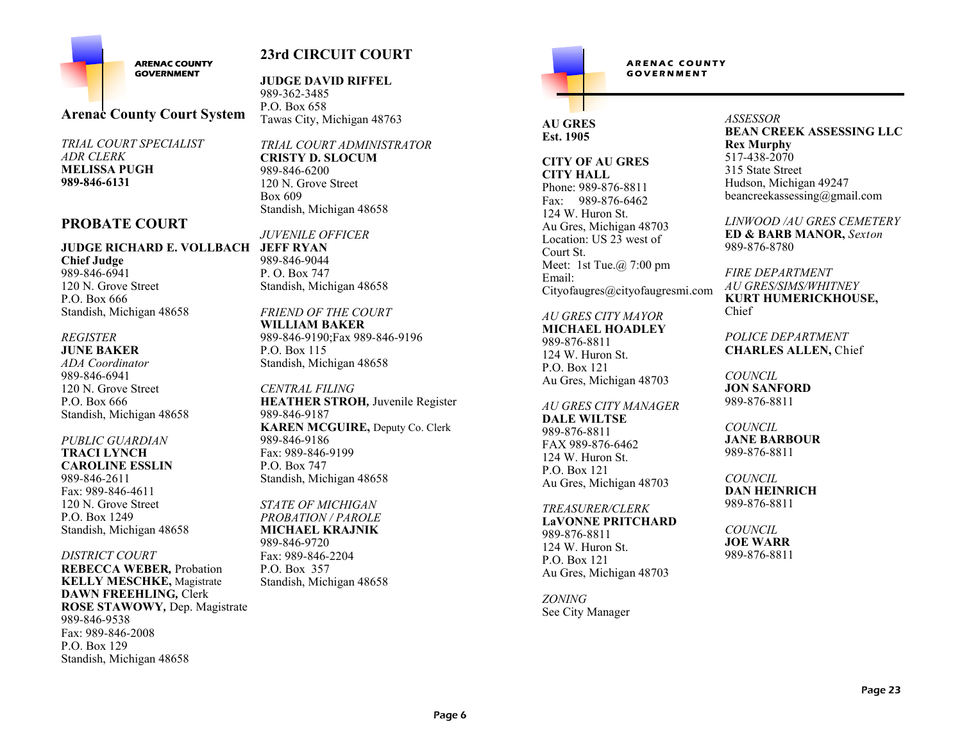

## **23rd CIRCUIT COURT**

**Arenac County Court System**

*TRIAL COURT SPECIALISTADR CLERK* **MELISSA PUGH989-846-6131**

## **PROBATE COURT**

#### **JEFF RYANJUDGE RICHARD E. VOLLBACH**

**Chief Judge** 989-846-6941 120 N. Grove StreetP.O. Box 666Standish, Michigan 48658

#### *REGISTER***JUNE BAKER**

 *ADA Coordinator*989-846-6941 120 N. Grove StreetP.O. Box 666Standish, Michigan 48658

*PUBLIC GUARDIAN***TRACI LYNCH CAROLINE ESSLIN**989-846-2611 Fax: 989-846-4611 120 N. Grove StreetP.O. Box 1249Standish, Michigan 48658

## *DISTRICT COURT*

 **REBECCA WEBER***,* Probation **KELLY MESCHKE,** Magistrate**DAWN FREEHLING***,* Clerk **ROSE STAWOWY***,* Dep. Magistrate989-846-9538 Fax: 989-846-2008P.O. Box 129Standish, Michigan 48658

**JUDGE DAVID RIFFEL**

989-362-3485 P.O. Box 658Tawas City, Michigan 48763

*TRIAL COURT ADMINISTRATOR***CRISTY D. SLOCUM**989-846-6200 120 N. Grove StreetBox 609Standish, Michigan 48658

*JUVENILE OFFICER* 

 989-846-9044 P. O. Box 747Standish, Michigan 48658

*FRIEND OF THE COURT***WILLIAM BAKER** 989-846-9190;Fax 989-846-9196P.O. Box 115Standish, Michigan 48658

*CENTRAL FILING* **HEATHER STROH***,* Juvenile Register989-846-9187 **KAREN MCGUIRE,** Deputy Co. Clerk989-846-9186 Fax: 989-846-9199P.O. Box 747Standish, Michigan 48658

*STATE OF MICHIGAN PROBATION / PAROLE* **MICHAEL KRAJNIK**989-846-9720 Fax: 989-846-2204P.O. Box 357Standish, Michigan 48658  $ARENAC$  COUNTY  $G$  **GOVERNMENT** 

## **AU GRESEst. 1905**

**CITY OF AU GRES CITY HALL** Phone: 989-876-8811 Fax: 989-876-6462124 W. Huron St. Au Gres, Michigan 48703 Location: US 23 west of Court St. Meet: 1st Tue.@ 7:00 pmEmail:Cityofaugres@cityofaugresmi.com

*AU GRES CITY MAYOR*

 **MICHAEL HOADLEY**989-876-8811 124 W. Huron St.P.O. Box 121Au Gres, Michigan 48703

*AU GRES CITY MANAGER*

**DALE WILTSE**989-876-8811 FAX 989-876-6462124 W. Huron St.P.O. Box 121Au Gres, Michigan 48703

*TREASURER/CLERK*

 **LaVONNE PRITCHARD**989-876-8811 124 W. Huron St.P.O. Box 121Au Gres, Michigan 48703

*ZONING*See City Manager *ASSESSOR* **BEAN CREEK ASSESSING LLCRex Murphy** 517-438-2070 315 State Street Hudson, Michigan 49247beancreekassessing@gmail.com

*LINWOOD /AU GRES CEMETERY***ED & BARB MANOR,** *Sexton*989-876-8780

*FIRE DEPARTMENT AU GRES/SIMS/WHITNEY* **KURT HUMERICKHOUSE,** Chief

*POLICE DEPARTMENT***CHARLES ALLEN,** Chief

*COUNCIL* **JON SANFORD**989-876-8811

### *COUNCIL*

 **JANE BARBOUR**989-876-8811

*COUNCIL* **DAN HEINRICH**989-876-8811

*COUNCIL* **JOE WARR**989-876-8811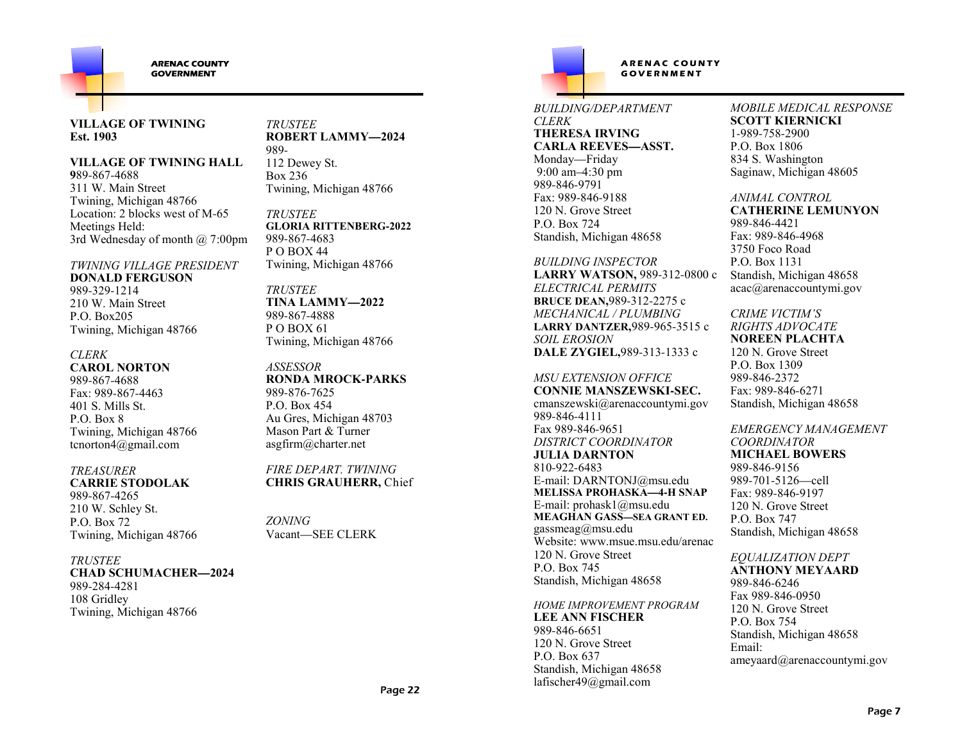

#### **VILLAGE OF TWINING Est. 1903**

#### **VILLAGE OF TWINING HALL**

**9**89-867-4688 311 W. Main Street Twining, Michigan 48766 Location: 2 blocks west of M-65Meetings Held:3rd Wednesday of month @ 7:00pm

*TWINING VILLAGE PRESIDENT***DONALD FERGUSON**989-329-1214 210 W. Main StreetP.O. Box205Twining, Michigan 48766

### *CLERK*

 **CAROL NORTON**989-867-4688 Fax: 989-867-4463401 S. Mills St.P.O. Box 8 Twining, Michigan 48766tcnorton4@gmail.com

#### *TREASURER***CARRIE STODOLAK**

989-867-4265 210 W. Schley St.P.O. Box 72Twining, Michigan 48766

#### *TRUSTEE*

 **CHAD SCHUMACHER—2024**989-284-4281108 GridleyTwining, Michigan 48766

*TRUSTEE* **ROBERT LAMMY—2024**989- 112 Dewey St.Box 236

*TRUSTEE* **GLORIA RITTENBERG-2022**989-867-4683 P O BOX 44Twining, Michigan 48766

Twining, Michigan 48766

*TRUSTEE* **TINA LAMMY—2022**989-867-4888 P O BOX 61Twining, Michigan 48766

#### *ASSESSOR* **RONDA MROCK-PARKS**989-876-7625 P.O. Box 454 Au Gres, Michigan 48703Mason Part & Turnerasgfirm@charter.net

*FIRE DEPART. TWINING***CHRIS GRAUHERR,** Chief

*ZONING*Vacant—SEE CLERK

 $ARENAC$  COUNTY  $G$  **GOVERNMENT** 

#### *BUILDING/DEPARTMENTCLERK*

 **THERESA IRVING CARLA REEVES—ASST.**Monday—Friday 9:00 am–4:30 pm989-846-9791 Fax: 989-846-9188 120 N. Grove StreetP.O. Box 724Standish, Michigan 48658

*BUILDING INSPECTOR* **LARRY WATSON,** 989-312-0800 c*ELECTRICAL PERMITS* **BRUCE DEAN,**989-312-2275 c *MECHANICAL / PLUMBING* **LARRY DANTZER,**989-965-3515 c*SOIL EROSION***DALE ZYGIEL,**989-313-1333 c

*MSU EXTENSION OFFICE* **CONNIE MANSZEWSKI-SEC.** cmanszewski@arenaccountymi.gov989-846-4111 Fax 989-846-9651 *DISTRICT COORDINATOR***JULIA DARNTON**810-922-6483 E-mail: DARNTONJ@msu.edu **MELISSA PROHASKA—4-H SNAP**E-mail: prohask1@msu.edu **MEAGHAN GASS—SEA GRANT ED.**gassmeag $@$ msu.edu Website: www.msue.msu.edu/arenac120 N. Grove StreetP.O. Box 745Standish, Michigan 48658

*HOME IMPROVEMENT PROGRAM***LEE ANN FISCHER**989-846-6651 120 N. Grove StreetP.O. Box 637 Standish, Michigan 48658lafischer49@gmail.com

*MOBILE MEDICAL RESPONSE***SCOTT KIERNICKI**1-989-758-2900 P.O. Box 1806 834 S. WashingtonSaginaw, Michigan 48605

#### *ANIMAL CONTROL*

 **CATHERINE LEMUNYON**989-846-4421 Fax: 989-846-49683750 Foco RoadP.O. Box 1131 Standish, Michigan 48658acac@arenaccountymi.gov

*CRIME VICTIM'S* 

 *RIGHTS ADVOCATE* **NOREEN PLACHTA**120 N. Grove StreetP.O. Box 1309 989-846-2372 Fax: 989-846-6271Standish, Michigan 48658

### *EMERGENCY MANAGEMENT*

*COORDINATOR* **MICHAEL BOWERS**989-846-9156 989-701-5126—cell Fax: 989-846-9197 120 N. Grove StreetP.O. Box 747Standish, Michigan 48658

### *EQUALIZATION DEPT*

 **ANTHONY MEYAARD**989-846-6246 Fax 989-846-0950 120 N. Grove StreetP.O. Box 754 Standish, Michigan 48658Email:ameyaard@arenaccountymi.gov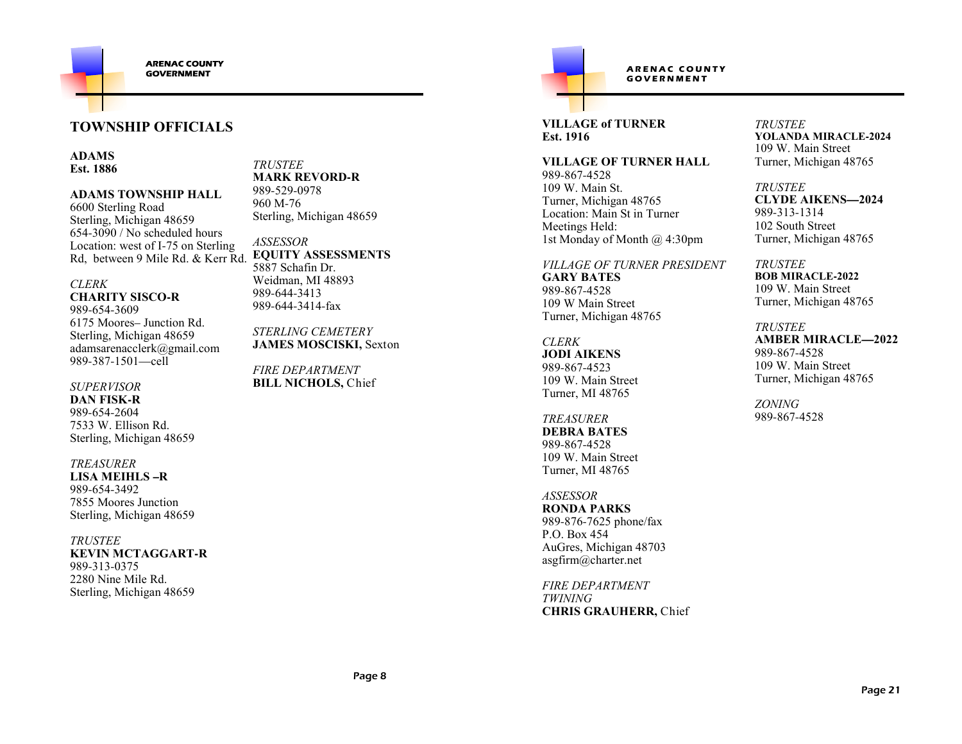

## **TOWNSHIP OFFICIALS**

**ADAMSEst. 1886**

**ADAMS TOWNSHIP HALL**

6600 Sterling Road Sterling, Michigan 48659 654-3090 / No scheduled hours Location: west of I-75 on SterlingRd, between 9 Mile Rd. & Kerr Rd.

*CLERK***CHARITY SISCO-R**

989-654-3609 6175 Moores– Junction Rd. Sterling, Michigan 48659 adamsarenacclerk@gmail.com989-387-1501—cell

#### *SUPERVISOR*

 **DAN FISK-R** 989-654-2604 7533 W. Ellison Rd.Sterling, Michigan 48659

*TREASURER*

 **LISA MEIHLS –R**989-654-3492 7855 Moores JunctionSterling, Michigan 48659

*TRUSTEE* **KEVIN MCTAGGART-R**989-313-0375 2280 Nine Mile Rd.Sterling, Michigan 48659

*TRUSTEE* **MARK REVORD-R**989-529-0978960 M-76Sterling, Michigan 48659

*ASSESSOR* **EQUITY ASSESSMENTS**5887 Schafin Dr. Weidman, MI 48893989-644-3413989-644-3414-fax

*STERLING CEMETERY* **JAMES MOSCISKI,** Sexton

*FIRE DEPARTMENT* **BILL NICHOLS,** Chief

## ARENAC COUNTY  $G$  **GOVERNMENT**

**VILLAGE of TURNEREst. 1916**

**VILLAGE OF TURNER HALL**989-867-4528 109 W. Main St. Turner, Michigan 48765 Location: Main St in TurnerMeetings Held:1st Monday of Month @ 4:30pm

*VILLAGE OF TURNER PRESIDENT***GARY BATES**989-867-4528 109 W Main StreetTurner, Michigan 48765

*CLERK* **JODI AIKENS**989-867-4523 109 W. Main StreetTurner, MI 48765

*TREASURER* **DEBRA BATES**989-867-4528 109 W. Main StreetTurner, MI 48765

*ASSESSOR* **RONDA PARKS** 989-876-7625 phone/faxP.O. Box 454 AuGres, Michigan 48703asgfirm@charter.net

*FIRE DEPARTMENTTWINING***CHRIS GRAUHERR,** Chief *TRUSTEE* **YOLANDA MIRACLE-2024**109 W. Main StreetTurner, Michigan 48765

*TRUSTEE* **CLYDE AIKENS—2024**989-313-1314 102 South StreetTurner, Michigan 48765

*TRUSTEE* **BOB MIRACLE-2022** 109 W. Main StreetTurner, Michigan 48765

*TRUSTEE* **AMBER MIRACLE—2022**989-867-4528 109 W. Main StreetTurner, Michigan 48765

*ZONING*989-867-4528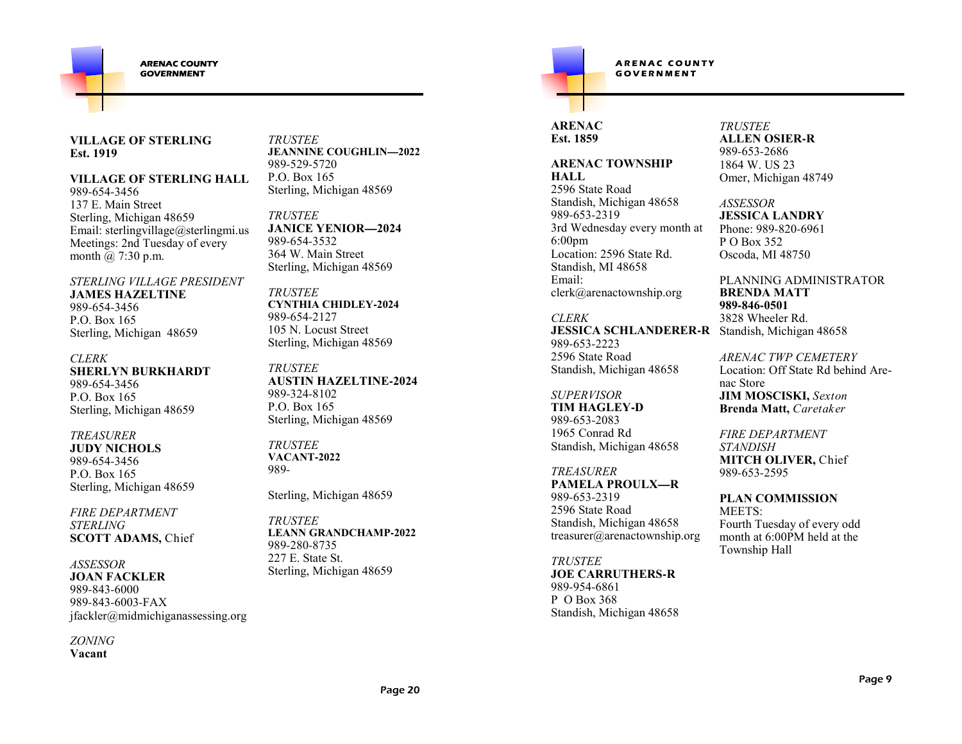

#### **VILLAGE OF STERLINGEst. 1919**

### **VILLAGE OF STERLING HALL**

989-654-3456 137 E. Main Street Sterling, Michigan 48659 Email: sterlingvillage@sterlingmi.usMeetings: 2nd Tuesday of everymonth @ 7:30 p.m.

*STERLING VILLAGE PRESIDENT***JAMES HAZELTINE**989-654-3456 P.O. Box 165Sterling, Michigan 48659

*CLERK* **SHERLYN BURKHARDT**989-654-3456 P.O. Box 165Sterling, Michigan 48659

#### *TREASURER* **JUDY NICHOLS**989-654-3456 P.O. Box 165Sterling, Michigan 48659

*FIRE DEPARTMENT STERLING***SCOTT ADAMS,** Chief

*ASSESSOR* **JOAN FACKLER** 989-843-6000 989-843-6003-FAXjfackler@midmichiganassessing.org

*ZONING***Vacant**

*TRUSTEE* **JEANNINE COUGHLIN—2022**989-529-5720 P.O. Box 165Sterling, Michigan 48569

*TRUSTEE* **JANICE YENIOR—2024**989-654-3532 364 W. Main StreetSterling, Michigan 48569

*TRUSTEE* **CYNTHIA CHIDLEY-2024**989-654-2127 105 N. Locust StreetSterling, Michigan 48569

*TRUSTEE* **AUSTIN HAZELTINE-2024**989-324-8102 P.O. Box 165Sterling, Michigan 48569

*TRUSTEE* **VACANT-2022**989-

Sterling, Michigan 48659

*TRUSTEE* **LEANN GRANDCHAMP-2022**989-280-8735 227 E. State St.Sterling, Michigan 48659

## $ARENAC$  **COUNTY**  $G$  **G O VERNMENT**

### **ARENACEst. 1859**

**ARENAC TOWNSHIP HALL** 2596 State Road Standish, Michigan 48658989-653-2319 3rd Wednesday every month at6:00pm Location: 2596 State Rd.Standish, MI 48658Email:

 clerk@arenactownship.org*CLERK*

 **JESSICA SCHLANDERER-R** Standish, Michigan 48658989-653-2223 2596 State RoadStandish, Michigan 48658

### *SUPERVISOR*

 **TIM HAGLEY-D**989-653-2083 1965 Conrad RdStandish, Michigan 48658

*TREASURER* **PAMELA PROULX—R**989-653-2319 2596 State Road Standish, Michigan 48658treasurer@arenactownship.org

*TRUSTEE* **JOE CARRUTHERS-R**989-954-6861 P O Box 368Standish, Michigan 48658

#### *TRUSTEE* **ALLEN OSIER-R**989-653-2686 1864 W. US 23Omer, Michigan 48749

*ASSESSOR* **JESSICA LANDRY** Phone: 989-820-6961P O Box 352Oscoda, MI 48750

PLANNING ADMINISTRATOR**BRENDA MATT989-846-0501**3828 Wheeler Rd.

*ARENAC TWP CEMETERY*  Location: Off State Rd behind Arenac Store **JIM MOSCISKI,** *Sexton***Brenda Matt,** *Caretaker*

*FIRE DEPARTMENT STANDISH* **MITCH OLIVER,** Chief989-653-2595

**PLAN COMMISSION** MEETS: Fourth Tuesday of every odd month at 6:00PM held at the Township Hall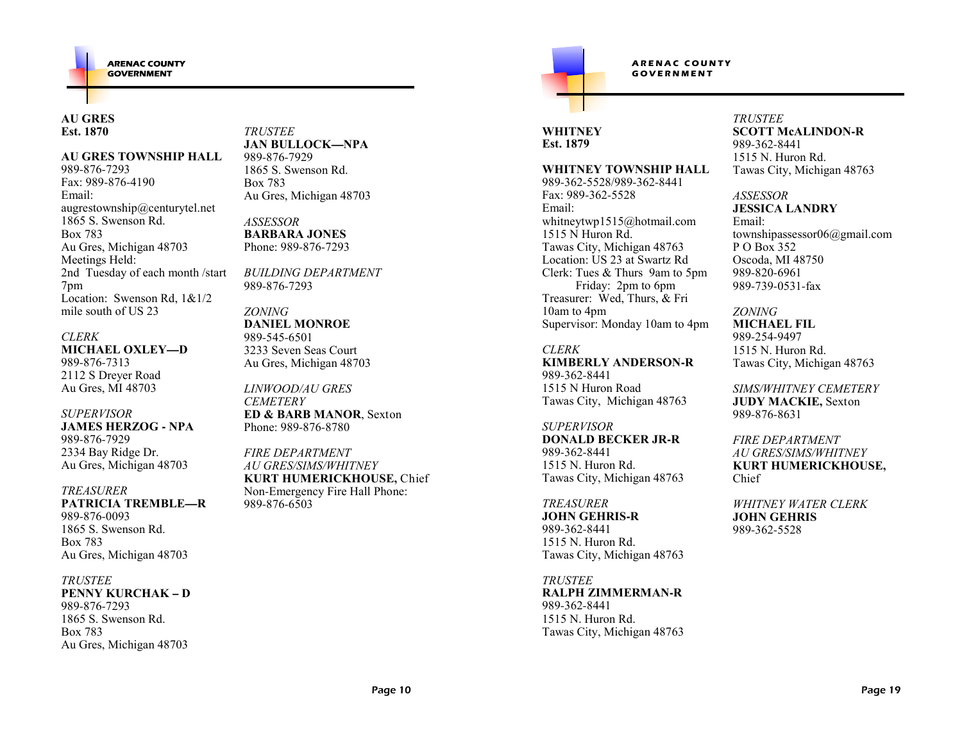### **AU GRES Est. 1870**

#### **AU GRES TOWNSHIP HALL**

989-876-7293 Fax: 989-876-4190Email: augrestownship@centurytel.net1865 S. Swenson Rd.Box 783 Au Gres, Michigan 48703Meetings Held: 2nd Tuesday of each month /start7pm Location: Swenson Rd, 1&1/2mile south of US 23

### *CLERK* **MICHAEL OXLEY—D**989-876-7313 2112 S Dreyer RoadAu Gres, MI 48703

*SUPERVISOR* **JAMES HERZOG - NPA**989-876-7929 2334 Bay Ridge Dr.Au Gres, Michigan 48703

#### *TREASURER*

 **PATRICIA TREMBLE—R**989-876-0093 1865 S. Swenson Rd.Box 783Au Gres, Michigan 48703

#### *TRUSTEE*

 **PENNY KURCHAK – D**989-876-7293 1865 S. Swenson Rd.Box 783Au Gres, Michigan 48703

*TRUSTEE* **JAN BULLOCK—NPA**989-876-7929 1865 S. Swenson Rd.Box 783Au Gres, Michigan 48703

*ASSESSOR* **BARBARA JONES**Phone: 989-876-7293

*BUILDING DEPARTMENT*989-876-7293

#### *ZONING* **DANIEL MONROE**989-545-6501 3233 Seven Seas CourtAu Gres, Michigan 48703

*LINWOOD/AU GRESCEMETERY*  **ED & BARB MANOR**, Sexton Phone: 989-876-8780

*FIRE DEPARTMENT AU GRES/SIMS/WHITNEY* **KURT HUMERICKHOUSE,** ChiefNon-Emergency Fire Hall Phone:989-876-6503

### **WHITNEYEst. 1879**

#### **WHITNEY TOWNSHIP HALL**

 $ARENAC$  **COUNTY**  $G$  **G O VERNMENT** 

989-362-5528/989-362-8441Fax: 989-362-5528Email: whitneytwp1515@hotmail.com1515 N Huron Rd. Tawas City, Michigan 48763 Location: US 23 at Swartz Rd Clerk: Tues & Thurs 9am to 5pm Friday: 2pm to 6pm Treasurer: Wed, Thurs, & Fri 10am to 4pmSupervisor: Monday 10am to 4pm

#### *CLERK*

 **KIMBERLY ANDERSON-R**989-362-8441 1515 N Huron RoadTawas City, Michigan 48763

#### *SUPERVISOR*

 **DONALD BECKER JR-R**989-362-8441 1515 N. Huron Rd.Tawas City, Michigan 48763

*TREASURER* **JOHN GEHRIS-R**989-362-8441 1515 N. Huron Rd.Tawas City, Michigan 48763

#### *TRUSTEE* **RALPH ZIMMERMAN-R**989-362-8441 1515 N. Huron Rd.Tawas City, Michigan 48763

#### *TRUSTEE* **SCOTT McALINDON-R**989-362-8441 1515 N. Huron Rd.Tawas City, Michigan 48763

#### *ASSESSOR***JESSICA LANDRY**

Email: townshipassessor06@gmail.comP O Box 352 Oscoda, MI 48750989-820-6961989-739-0531-fax

#### *ZONING*

 **MICHAEL FIL**989-254-9497 1515 N. Huron Rd.Tawas City, Michigan 48763

*SIMS/WHITNEY CEMETERY***JUDY MACKIE,** Sexton989-876-8631

*FIRE DEPARTMENT AU GRES/SIMS/WHITNEY* **KURT HUMERICKHOUSE,** Chief

*WHITNEY WATER CLERK***JOHN GEHRIS**989-362-5528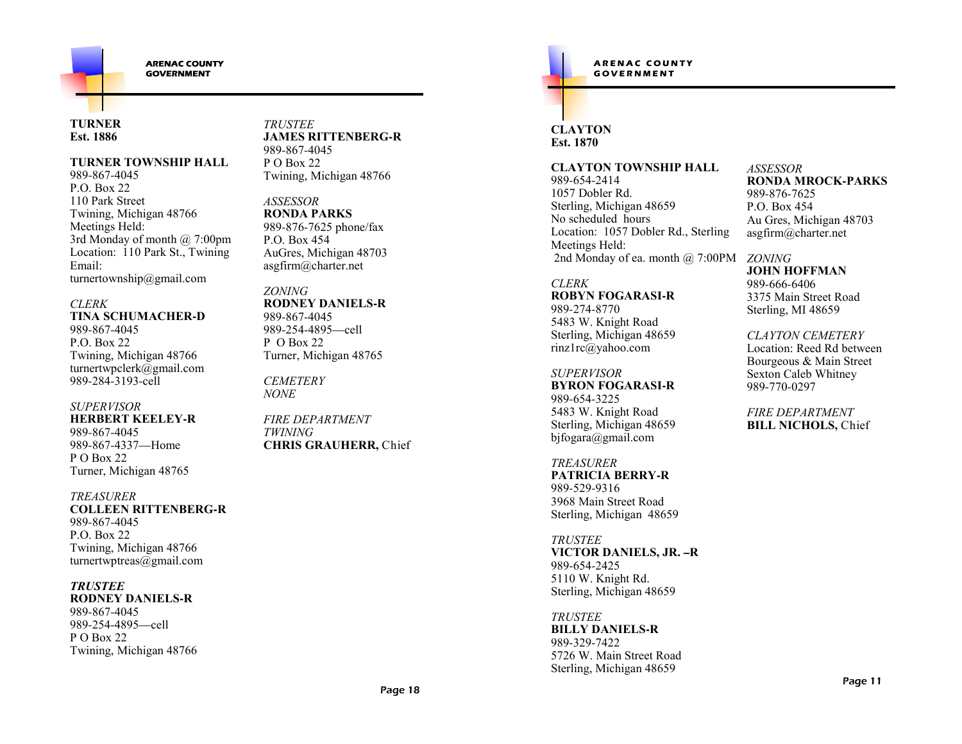

**ARENAC COUNTY GOVERNMENT** 

#### **TURNEREst. 1886**

#### **TURNER TOWNSHIP HALL**

989-867-4045 P.O. Box 22 110 Park Street Twining, Michigan 48766Meetings Held: 3rd Monday of month @ 7:00pm Location: 110 Park St., TwiningEmail:turnertownship@gmail.com

#### *CLERK*

 **TINA SCHUMACHER-D**989-867-4045P.O. Box 22 Twining, Michigan 48766 turnertwpclerk@gmail.com989-284-3193-cell

### *SUPERVISOR*

 **HERBERT KEELEY-R**989-867-4045 989-867-4337—HomeP O Box 22 Turner, Michigan 48765

#### *TREASURER*

 **COLLEEN RITTENBERG-R**989-867-4045 P.O. Box 22 Twining, Michigan 48766turnertwptreas@gmail.com

#### *TRUSTEE*

 **RODNEY DANIELS-R**989-867-4045 989-254-4895—cellP O Box 22 Twining, Michigan 48766 *TRUSTEE* **JAMES RITTENBERG-R**989-867-4045P O Box 22 Twining, Michigan 48766

*ASSESSOR* **RONDA PARKS** 989-876-7625 phone/faxP.O. Box 454 AuGres, Michigan 48703asgfirm@charter.net

*ZONING* **RODNEY DANIELS-R**989-867-4045 989-254-4895—cellP O Box 22 Turner, Michigan 48765

*CEMETERYNONE*

*FIRE DEPARTMENTTWINING***CHRIS GRAUHERR,** Chief  $ARENAC$  COUNTY  $G$  **GOVERNMENT** 

### **CLAYTON Est. 1870**

**CLAYTON TOWNSHIP HALL**989-654-2414 1057 Dobler Rd. Sterling, Michigan 48659No scheduled hours Location: 1057 Dobler Rd., SterlingMeetings Held:2nd Monday of ea. month @ 7:00PM

#### *CLERK***ROBYN FOGARASI-R**

989-274-8770 5483 W. Knight Road Sterling, Michigan 48659rinz1rc@yahoo.com

#### *SUPERVISOR* **BYRON FOGARASI-R**989-654-3225 5483 W. Knight Road Sterling, Michigan 48659bjfogara@gmail.com

*TREASURER*

 **PATRICIA BERRY-R**989-529-9316 3968 Main Street RoadSterling, Michigan 48659

*TRUSTEE* **VICTOR DANIELS, JR. –R**989-654-2425 5110 W. Knight Rd.Sterling, Michigan 48659

*TRUSTEE* **BILLY DANIELS-R**989-329-7422 5726 W. Main Street RoadSterling, Michigan 48659

#### *ASSESSOR* **RONDA MROCK-PARKS**989-876-7625 P.O. Box 454 Au Gres, Michigan 48703asgfirm@charter.net

*ZONING* **JOHN HOFFMAN**989-666-6406 3375 Main Street RoadSterling, MI 48659

### *CLAYTON CEMETERY*

 Location: Reed Rd between Bourgeous & Main StreetSexton Caleb Whitney989-770-0297

*FIRE DEPARTMENT* **BILL NICHOLS,** Chief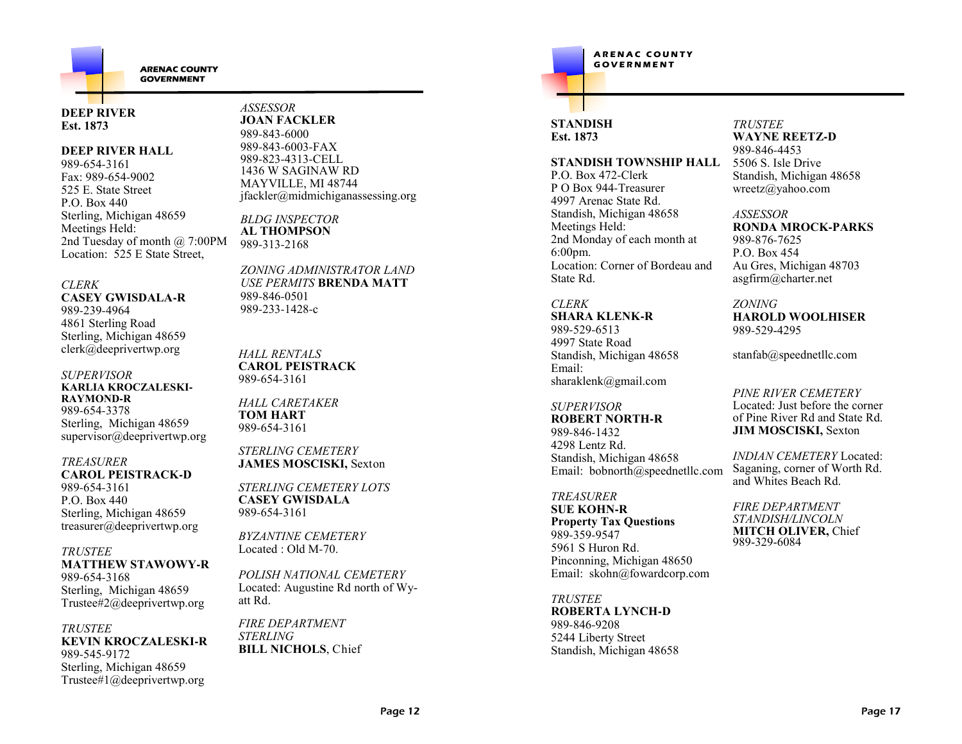

#### **DEEP RIVEREst. 1873**

#### **DEEP RIVER HALL**

989-654-3161 Fax: 989-654-9002 525 E. State StreetP.O. Box 440 Sterling, Michigan 48659Meetings Held: 2nd Tuesday of month @ 7:00PMLocation: 525 E State Street,

#### *CLERK*

 **CASEY GWISDALA-R**989-239-4964 4861 Sterling Road Sterling, Michigan 48659clerk@deeprivertwp.org

#### *SUPERVISOR* **KARLIA KROCZALESKI-RAYMOND-R** 989-654-3378 Sterling, Michigan 48659supervisor@deeprivertwp.org

#### *TREASURER* **CAROL PEISTRACK-D**989-654-3161

 P.O. Box 440 Sterling, Michigan 48659treasurer@deeprivertwp.org

#### *TRUSTEE*

 **MATTHEW STAWOWY-R** 989-654-3168 Sterling, Michigan 48659Trustee#2@deeprivertwp.org

#### *TRUSTEE* **KEVIN KROCZALESKI-R**989-545-9172 Sterling, Michigan 48659Trustee#1@deeprivertwp.org

*ASSESSOR* **JOAN FACKLER** 989-843-6000 989-843-6003-FAX 989-823-4313-CELL 1436 W SAGINAW RD MAYVILLE, MI 48744jfackler@midmichiganassessing.org

*BLDG INSPECTOR* **AL THOMPSON**989-313-2168

*ZONING ADMINISTRATOR LAND USE PERMITS* **BRENDA MATT**989-846-0501989-233-1428-<sup>c</sup>

#### *HALL RENTALS* **CAROL PEISTRACK**989-654-3161

*HALL CARETAKER***TOM HART**989-654-3161

*STERLING CEMETERY* **JAMES MOSCISKI,** Sexton

*STERLING CEMETERY LOTS***CASEY GWISDALA**989-654-3161

*BYZANTINE CEMETERY*Located : Old M-70.

*POLISH NATIONAL CEMETERY* Located: Augustine Rd north of Wyatt Rd.

*FIRE DEPARTMENTSTERLING***BILL NICHOLS**, Chief

## $A$ **RENAC COUNTY**<br>GOVERNMENT **<sup>G</sup> <sup>O</sup> <sup>V</sup> <sup>E</sup> <sup>R</sup> <sup>N</sup> <sup>M</sup> <sup>E</sup> <sup>N</sup> <sup>T</sup>**

## **STANDISHEst. 1873**

#### **STANDISH TOWNSHIP HALL**

P.O. Box 472-Clerk P O Box 944-Treasurer4997 Arenac State Rd. Standish, Michigan 48658Meetings Held: 2nd Monday of each month at 6:00pm. Location: Corner of Bordeau and State Rd.

## *CLERK*

 **SHARA KLENK-R**989-529-6513 4997 State Road Standish, Michigan 48658Email:sharaklenk@gmail.com

#### *SUPERVISOR***ROBERT NORTH-R**

989-846-1432 4298 Lentz Rd. Standish, Michigan 48658Email: bobnorth@speednetllc.com

## *TREASURER*

 **SUE KOHN-R Property Tax Questions**989-359-9547 5961 S Huron Rd. Pinconning, Michigan 48650Email: skohn@fowardcorp.com

*TRUSTEE* **ROBERTA LYNCH-D**989-846-9208 5244 Liberty StreetStandish, Michigan 48658

#### *TRUSTEE* **WAYNE REETZ-D**989-846-4453 5506 S. Isle Drive Standish, Michigan 48658wreetz@yahoo.com

*ASSESSOR* **RONDA MROCK-PARKS**989-876-7625 P.O. Box 454 Au Gres, Michigan 48703asgfirm@charter.net

## *ZONING*

 **HAROLD WOOLHISER**989-529-4295

stanfab@speednetllc.com

#### *PINE RIVER CEMETERY* Located: Just before the corner of Pine River Rd and State Rd.**JIM MOSCISKI,** Sexton

*INDIAN CEMETERY* Located: Saganing, corner of Worth Rd. and Whites Beach Rd.

*FIRE DEPARTMENT STANDISH/LINCOLN* **MITCH OLIVER,** Chief989-329-6084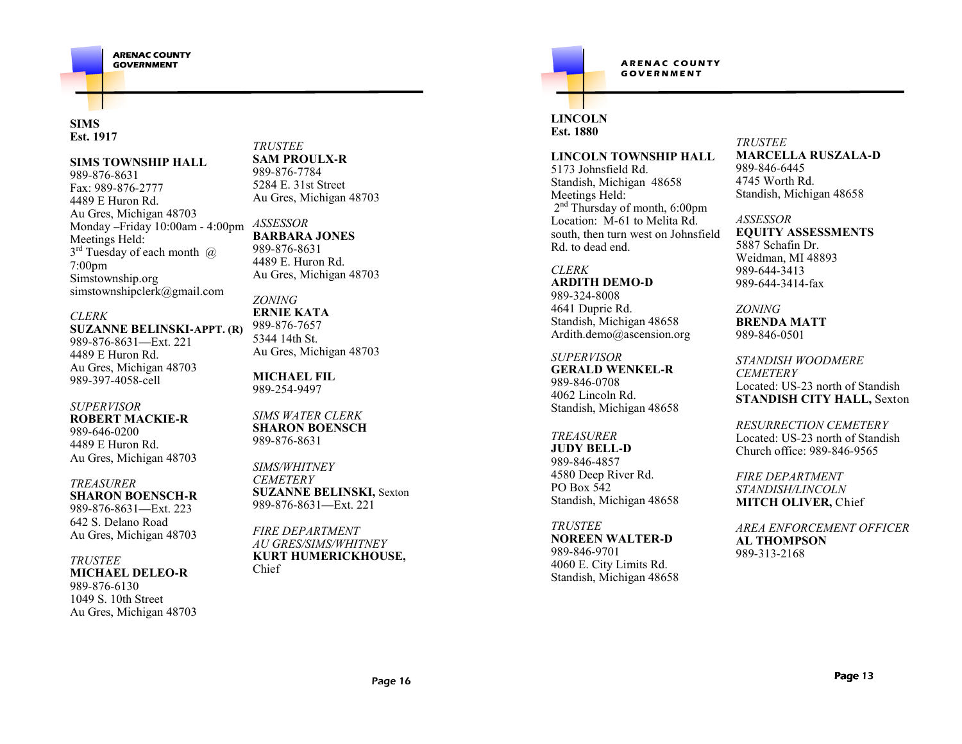

#### **SIMS Est. 1917**

#### **SIMS TOWNSHIP HALL**

989-876-8631 Fax: 989-876-2777 4489 E Huron Rd. Au Gres, Michigan 48703 Monday –Friday 10:00am - 4:00pm Meetings Held: $3^{\text{rd}}$  Tuesday of each month  $\omega$ 7:00pm Simstownship.orgsimstownshipclerk@gmail.com

#### *CLERK*

 **SUZANNE BELINSKI-APPT. (R)**989-876-8631—Ext. 221 4489 E Huron Rd. Au Gres, Michigan 48703989-397-4058-cell

## *SUPERVISOR*

 **ROBERT MACKIE-R**989-646-0200 4489 E Huron Rd.Au Gres, Michigan 48703

#### *TREASURER***SHARON BOENSCH-R**

 989-876-8631—Ext. 223 642 S. Delano RoadAu Gres, Michigan 48703

#### *TRUSTEE*

#### **MICHAEL DELEO-R**989-876-6130 1049 S. 10th StreetAu Gres, Michigan 48703

*TRUSTEE* **SAM PROULX-R**989-876-7784 5284 E. 31st StreetAu Gres, Michigan 48703

#### *ASSESSOR***BARBARA JONES**

989-876-8631 4489 E. Huron Rd.Au Gres, Michigan 48703

*ZONING*  **ERNIE KATA** 989-876-7657 5344 14th St.Au Gres, Michigan 48703

**MICHAEL FIL**989-254-9497

*SIMS WATER CLERK* **SHARON BOENSCH**989-876-8631

*SIMS/WHITNEYCEMETERY*  **SUZANNE BELINSKI,** Sexton989-876-8631—Ext. 221

*FIRE DEPARTMENT AU GRES/SIMS/WHITNEY* **KURT HUMERICKHOUSE,**Chief

## $ARENAC$  COUNTY  $G$   $O$  $V$  $E$  $R$  $N$  $M$  $E$  $N$  $T$

## **LINCOLNEst. 1880**

#### **LINCOLN TOWNSHIP HALL**

5173 Johnsfield Rd. Standish, Michigan 48658Meetings Held:2<sup>nd</sup> Thursday of month, 6:00pm Location: M-61 to Melita Rd. south, then turn west on Johnsfield Rd. to dead end.

## *CLERK* **ARDITH DEMO-D**

989-324-8008 4641 Duprie Rd. Standish, Michigan 48658Ardith.demo@ascension.org

### *SUPERVISOR*

 **GERALD WENKEL-R**989-846-0708 4062 Lincoln Rd.Standish, Michigan 48658

#### *TREASURER*

 **JUDY BELL-D**989-846-4857 4580 Deep River Rd.PO Box 542Standish, Michigan 48658

#### *TRUSTEE*

 **NOREEN WALTER-D**989-846-9701 4060 E. City Limits Rd.Standish, Michigan 48658

#### *TRUSTEE* **MARCELLA RUSZALA-D**989-846-6445 4745 Worth Rd.Standish, Michigan 48658

*ASSESSOR* **EQUITY ASSESSMENTS**5887 Schafin Dr. Weidman, MI 48893989-644-3413989-644-3414-fax

## *ZONING*

 **BRENDA MATT**989-846-0501

*STANDISH WOODMERECEMETERY* Located: US-23 north of Standish**STANDISH CITY HALL,** Sexton

*RESURRECTION CEMETERY* Located: US-23 north of StandishChurch office: 989-846-9565

*FIRE DEPARTMENT STANDISH/LINCOLN***MITCH OLIVER,** Chief

*AREA ENFORCEMENT OFFICER***AL THOMPSON**989-313-2168